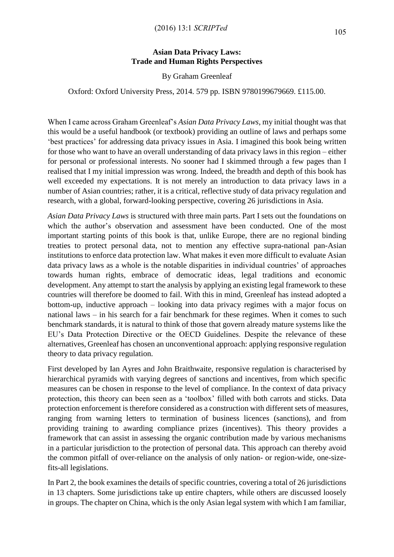## **Asian Data Privacy Laws: Trade and Human Rights Perspectives**

By Graham Greenleaf

Oxford: Oxford University Press, 2014. 579 pp. ISBN 9780199679669. £115.00.

When I came across Graham Greenleaf's *Asian Data Privacy Laws*, my initial thought was that this would be a useful handbook (or textbook) providing an outline of laws and perhaps some 'best practices' for addressing data privacy issues in Asia. I imagined this book being written for those who want to have an overall understanding of data privacy laws in this region – either for personal or professional interests. No sooner had I skimmed through a few pages than I realised that I my initial impression was wrong. Indeed, the breadth and depth of this book has well exceeded my expectations. It is not merely an introduction to data privacy laws in a number of Asian countries; rather, it is a critical, reflective study of data privacy regulation and research, with a global, forward-looking perspective, covering 26 jurisdictions in Asia.

*Asian Data Privacy Laws* is structured with three main parts. Part I sets out the foundations on which the author's observation and assessment have been conducted. One of the most important starting points of this book is that, unlike Europe, there are no regional binding treaties to protect personal data, not to mention any effective supra-national pan-Asian institutions to enforce data protection law. What makes it even more difficult to evaluate Asian data privacy laws as a whole is the notable disparities in individual countries' of approaches towards human rights, embrace of democratic ideas, legal traditions and economic development. Any attempt to start the analysis by applying an existing legal framework to these countries will therefore be doomed to fail. With this in mind, Greenleaf has instead adopted a bottom-up, inductive approach – looking into data privacy regimes with a major focus on national laws – in his search for a fair benchmark for these regimes. When it comes to such benchmark standards, it is natural to think of those that govern already mature systems like the EU's Data Protection Directive or the OECD Guidelines. Despite the relevance of these alternatives, Greenleaf has chosen an unconventional approach: applying responsive regulation theory to data privacy regulation.

First developed by Ian Ayres and John Braithwaite, responsive regulation is characterised by hierarchical pyramids with varying degrees of sanctions and incentives, from which specific measures can be chosen in response to the level of compliance. In the context of data privacy protection, this theory can been seen as a 'toolbox' filled with both carrots and sticks. Data protection enforcement is therefore considered as a construction with different sets of measures, ranging from warning letters to termination of business licences (sanctions), and from providing training to awarding compliance prizes (incentives). This theory provides a framework that can assist in assessing the organic contribution made by various mechanisms in a particular jurisdiction to the protection of personal data. This approach can thereby avoid the common pitfall of over-reliance on the analysis of only nation- or region-wide, one-sizefits-all legislations.

In Part 2, the book examines the details of specific countries, covering a total of 26 jurisdictions in 13 chapters. Some jurisdictions take up entire chapters, while others are discussed loosely in groups. The chapter on China, which is the only Asian legal system with which I am familiar,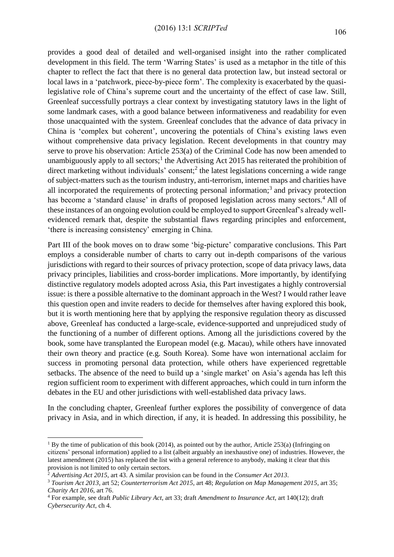provides a good deal of detailed and well-organised insight into the rather complicated development in this field. The term 'Warring States' is used as a metaphor in the title of this chapter to reflect the fact that there is no general data protection law, but instead sectoral or local laws in a 'patchwork, piece-by-piece form'. The complexity is exacerbated by the quasilegislative role of China's supreme court and the uncertainty of the effect of case law. Still, Greenleaf successfully portrays a clear context by investigating statutory laws in the light of some landmark cases, with a good balance between informativeness and readability for even those unacquainted with the system. Greenleaf concludes that the advance of data privacy in China is 'complex but coherent', uncovering the potentials of China's existing laws even without comprehensive data privacy legislation. Recent developments in that country may serve to prove his observation: Article 253(a) of the Criminal Code has now been amended to unambiguously apply to all sectors;<sup>1</sup> the Advertising Act 2015 has reiterated the prohibition of direct marketing without individuals' consent;<sup>2</sup> the latest legislations concerning a wide range of subject-matters such as the tourism industry, anti-terrorism, internet maps and charities have all incorporated the requirements of protecting personal information;<sup>3</sup> and privacy protection has become a 'standard clause' in drafts of proposed legislation across many sectors.<sup>4</sup> All of these instances of an ongoing evolution could be employed to support Greenleaf's already wellevidenced remark that, despite the substantial flaws regarding principles and enforcement, 'there is increasing consistency' emerging in China.

Part III of the book moves on to draw some 'big-picture' comparative conclusions. This Part employs a considerable number of charts to carry out in-depth comparisons of the various jurisdictions with regard to their sources of privacy protection, scope of data privacy laws, data privacy principles, liabilities and cross-border implications. More importantly, by identifying distinctive regulatory models adopted across Asia, this Part investigates a highly controversial issue: is there a possible alternative to the dominant approach in the West? I would rather leave this question open and invite readers to decide for themselves after having explored this book, but it is worth mentioning here that by applying the responsive regulation theory as discussed above, Greenleaf has conducted a large-scale, evidence-supported and unprejudiced study of the functioning of a number of different options. Among all the jurisdictions covered by the book, some have transplanted the European model (e.g. Macau), while others have innovated their own theory and practice (e.g. South Korea). Some have won international acclaim for success in promoting personal data protection, while others have experienced regrettable setbacks. The absence of the need to build up a 'single market' on Asia's agenda has left this region sufficient room to experiment with different approaches, which could in turn inform the debates in the EU and other jurisdictions with well-established data privacy laws.

In the concluding chapter, Greenleaf further explores the possibility of convergence of data privacy in Asia, and in which direction, if any, it is headed. In addressing this possibility, he

1

<sup>&</sup>lt;sup>1</sup> By the time of publication of this book (2014), as pointed out by the author, Article 253(a) (Infringing on citizens' personal information) applied to a list (albeit arguably an inexhaustive one) of industries. However, the latest amendment (2015) has replaced the list with a general reference to anybody, making it clear that this provision is not limited to only certain sectors.

<sup>2</sup> *Advertising Act 2015*, art 43. A similar provision can be found in the *Consumer Act 2013*.

<sup>3</sup> *Tourism Act 2013*, art 52; *Counterterrorism Act 2015*, art 48; *Regulation on Map Management 2015*, art 35; *Charity Act 2016*, art 76.

<sup>4</sup> For example, see draft *Public Library Act*, art 33; draft *Amendment to Insurance Act*, art 140(12); draft *Cybersecurity Act*, ch 4.